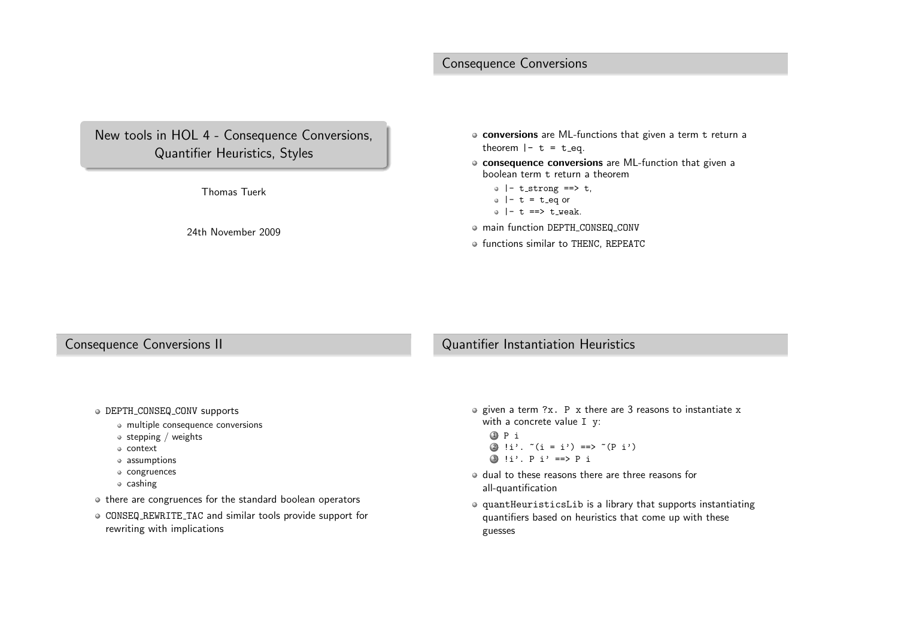# Consequence Conversions

# New tools in HOL <sup>4</sup> - Consequence Conversions, Quantifier Heuristics, Styles

Thomas Tuerk

24th November <sup>2009</sup>

- **conversions** are ML-functions that given a term t return a<br>there we have theorem  $|-$  t = t\_eq.
- consequence conversions are ML-function that <sup>g</sup>iven <sup>a</sup>boolean term <sup>t</sup> return <sup>a</sup> theorem
	- $\circ$  |- t\_strong ==> t,
	- $\circ$  |- t = t\_eq or
	- $\circ$  |- t ==> t\_weak.
- main function DEPTH CONSEQ CONV
- functions similar to THENC, REPEATC

#### Consequence Conversions II

# Quantifier Instantiation Heuristics

- DEPTH CONSEQ CONV supports
	- multiple consequence conversions
	- $\bullet$  stepping / weights
	- context
	- assumptions
	- congruences
	- $\circ$  cashing
- $\bullet$  there are congruences for the standard boolean operators
- CONSEQ REWRITE TAC and similar tools provide support for rewriting with implications
- given a term ?x. P x there are 3 reasons to instantiate x<br>with a concrete value I <del>v</del> with <sup>a</sup> concrete value <sup>I</sup> <sup>y</sup>:
	- 1 <sup>P</sup> <sup>i</sup> 2 !i'. ~(i <sup>=</sup> i') ==> ~(P i') 3 !i'. <sup>P</sup> i' ==> <sup>P</sup> <sup>i</sup>
- dual to these reasons there are three reasons forall-quantification
- quantHeuristicsLib is <sup>a</sup> library that supports instantiating quantifiers based on heuristics that come up with theseguesses